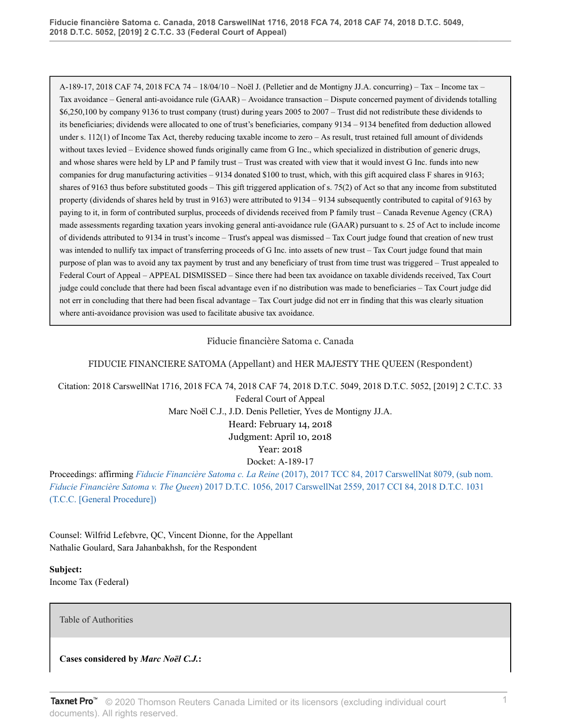A-189-17, 2018 CAF 74, 2018 FCA 74 – 18/04/10 – Noël J. (Pelletier and de Montigny JJ.A. concurring) – Tax – Income tax – Tax avoidance – General anti-avoidance rule (GAAR) – Avoidance transaction – Dispute concerned payment of dividends totalling \$6,250,100 by company 9136 to trust company (trust) during years 2005 to 2007 – Trust did not redistribute these dividends to its beneficiaries; dividends were allocated to one of trust's beneficiaries, company 9134 – 9134 benefited from deduction allowed under s. 112(1) of Income Tax Act, thereby reducing taxable income to zero – As result, trust retained full amount of dividends without taxes levied – Evidence showed funds originally came from G Inc., which specialized in distribution of generic drugs, and whose shares were held by LP and P family trust – Trust was created with view that it would invest G Inc. funds into new companies for drug manufacturing activities – 9134 donated \$100 to trust, which, with this gift acquired class F shares in 9163; shares of 9163 thus before substituted goods – This gift triggered application of s. 75(2) of Act so that any income from substituted property (dividends of shares held by trust in 9163) were attributed to 9134 – 9134 subsequently contributed to capital of 9163 by paying to it, in form of contributed surplus, proceeds of dividends received from P family trust – Canada Revenue Agency (CRA) made assessments regarding taxation years invoking general anti-avoidance rule (GAAR) pursuant to s. 25 of Act to include income of dividends attributed to 9134 in trust's income – Trust's appeal was dismissed – Tax Court judge found that creation of new trust was intended to nullify tax impact of transferring proceeds of G Inc. into assets of new trust – Tax Court judge found that main purpose of plan was to avoid any tax payment by trust and any beneficiary of trust from time trust was triggered – Trust appealed to Federal Court of Appeal – APPEAL DISMISSED – Since there had been tax avoidance on taxable dividends received, Tax Court judge could conclude that there had been fiscal advantage even if no distribution was made to beneficiaries – Tax Court judge did not err in concluding that there had been fiscal advantage – Tax Court judge did not err in finding that this was clearly situation where anti-avoidance provision was used to facilitate abusive tax avoidance.

## Fiducie financière Satoma c. Canada

FIDUCIE FINANCIERE SATOMA (Appellant) and HER MAJESTY THE QUEEN (Respondent)

Citation: 2018 CarswellNat 1716, 2018 FCA 74, 2018 CAF 74, 2018 D.T.C. 5049, 2018 D.T.C. 5052, [2019] 2 C.T.C. 33

Federal Court of Appeal Marc Noël C.J., J.D. Denis Pelletier, Yves de Montigny JJ.A. Heard: February 14, 2018 Judgment: April 10, 2018 Year: 2018 Docket: A-189-17

Proceedings: affirming *Fiducie Financière Satoma c. La Reine* [\(2017\), 2017 TCC 84, 2017 CarswellNat 8079, \(sub nom.](http://v3.taxnetpro.com/Document/I51654abf8e0f38c6e0540021280d7cce/View/FullText.html?originationContext=document&vr=3.0&rs=cblt1.0&transitionType=DocumentItem&contextData=(sc.Search)) *Fiducie Financière Satoma v. The Queen*[\) 2017 D.T.C. 1056, 2017 CarswellNat 2559, 2017 CCI 84, 2018 D.T.C. 1031](http://v3.taxnetpro.com/Document/I51654abf8e0f38c6e0540021280d7cce/View/FullText.html?originationContext=document&vr=3.0&rs=cblt1.0&transitionType=DocumentItem&contextData=(sc.Search)) [\(T.C.C. \[General Procedure\]\)](http://v3.taxnetpro.com/Document/I51654abf8e0f38c6e0540021280d7cce/View/FullText.html?originationContext=document&vr=3.0&rs=cblt1.0&transitionType=DocumentItem&contextData=(sc.Search))

Counsel: Wilfrid Lefebvre, QC, Vincent Dionne, for the Appellant Nathalie Goulard, Sara Jahanbakhsh, for the Respondent

**Subject:** Income Tax (Federal)

Table of Authorities

**Cases considered by** *Marc Noël C.J.***:**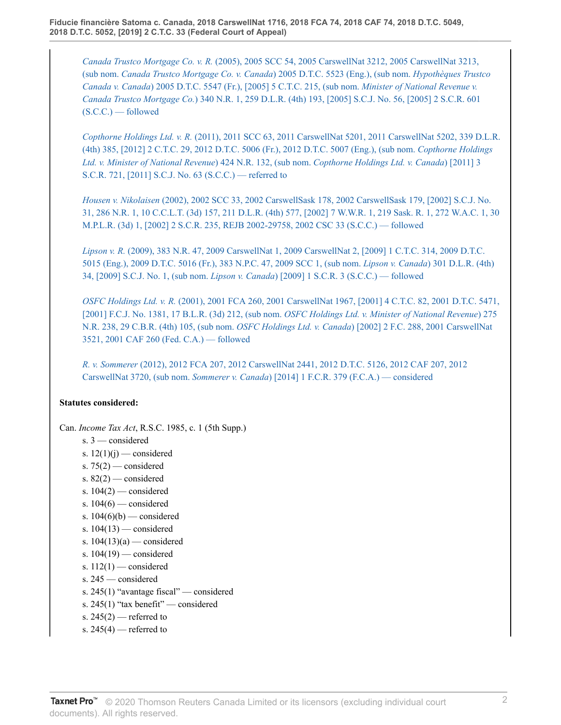*Canada Trustco Mortgage Co. v. R.* [\(2005\), 2005 SCC 54, 2005 CarswellNat 3212, 2005 CarswellNat 3213,](http://v3.taxnetpro.com/Document/I8d7d939394245dece0440003ba833f85/View/FullText.html?originationContext=document&vr=3.0&rs=cblt1.0&transitionType=DocumentItem&contextData=(sc.Search)) (sub nom. *[Canada Trustco Mortgage Co. v. Canada](http://v3.taxnetpro.com/Document/I8d7d939394245dece0440003ba833f85/View/FullText.html?originationContext=document&vr=3.0&rs=cblt1.0&transitionType=DocumentItem&contextData=(sc.Search))*) 2005 D.T.C. 5523 (Eng.), (sub nom. *Hypothèques Trustco Canada v. Canada*[\) 2005 D.T.C. 5547 \(Fr.\), \[2005\] 5 C.T.C. 215, \(sub nom.](http://v3.taxnetpro.com/Document/I8d7d939394245dece0440003ba833f85/View/FullText.html?originationContext=document&vr=3.0&rs=cblt1.0&transitionType=DocumentItem&contextData=(sc.Search)) *Minister of National Revenue v. Canada Trustco Mortgage Co.*[\) 340 N.R. 1, 259 D.L.R. \(4th\) 193, \[2005\] S.C.J. No. 56, \[2005\] 2 S.C.R. 601](http://v3.taxnetpro.com/Document/I8d7d939394245dece0440003ba833f85/View/FullText.html?originationContext=document&vr=3.0&rs=cblt1.0&transitionType=DocumentItem&contextData=(sc.Search))  $(S.C.C.)$  — followed

*Copthorne Holdings Ltd. v. R.* [\(2011\), 2011 SCC 63, 2011 CarswellNat 5201, 2011 CarswellNat 5202, 339 D.L.R.](http://v3.taxnetpro.com/Document/Ib6468171105f07f8e0440021280d79ee/View/FullText.html?originationContext=document&vr=3.0&rs=cblt1.0&transitionType=DocumentItem&contextData=(sc.Search)) [\(4th\) 385, \[2012\] 2 C.T.C. 29, 2012 D.T.C. 5006 \(Fr.\), 2012 D.T.C. 5007 \(Eng.\), \(sub nom.](http://v3.taxnetpro.com/Document/Ib6468171105f07f8e0440021280d79ee/View/FullText.html?originationContext=document&vr=3.0&rs=cblt1.0&transitionType=DocumentItem&contextData=(sc.Search)) *Copthorne Holdings [Ltd. v. Minister of National Revenue](http://v3.taxnetpro.com/Document/Ib6468171105f07f8e0440021280d79ee/View/FullText.html?originationContext=document&vr=3.0&rs=cblt1.0&transitionType=DocumentItem&contextData=(sc.Search))*) 424 N.R. 132, (sub nom. *Copthorne Holdings Ltd. v. Canada*) [2011] 3 [S.C.R. 721, \[2011\] S.C.J. No. 63 \(S.C.C.\) — referred to](http://v3.taxnetpro.com/Document/Ib6468171105f07f8e0440021280d79ee/View/FullText.html?originationContext=document&vr=3.0&rs=cblt1.0&transitionType=DocumentItem&contextData=(sc.Search))

*Housen v. Nikolaisen* [\(2002\), 2002 SCC 33, 2002 CarswellSask 178, 2002 CarswellSask 179, \[2002\] S.C.J. No.](http://v3.taxnetpro.com/Document/I17a3d4299a0372cbe0540021280d79ee/View/FullText.html?originationContext=document&vr=3.0&rs=cblt1.0&transitionType=DocumentItem&contextData=(sc.Search)) [31, 286 N.R. 1, 10 C.C.L.T. \(3d\) 157, 211 D.L.R. \(4th\) 577, \[2002\] 7 W.W.R. 1, 219 Sask. R. 1, 272 W.A.C. 1, 30](http://v3.taxnetpro.com/Document/I17a3d4299a0372cbe0540021280d79ee/View/FullText.html?originationContext=document&vr=3.0&rs=cblt1.0&transitionType=DocumentItem&contextData=(sc.Search)) [M.P.L.R. \(3d\) 1, \[2002\] 2 S.C.R. 235, REJB 2002-29758, 2002 CSC 33 \(S.C.C.\) — followed](http://v3.taxnetpro.com/Document/I17a3d4299a0372cbe0540021280d79ee/View/FullText.html?originationContext=document&vr=3.0&rs=cblt1.0&transitionType=DocumentItem&contextData=(sc.Search))

*Lipson v. R.* [\(2009\), 383 N.R. 47, 2009 CarswellNat 1, 2009 CarswellNat 2, \[2009\] 1 C.T.C. 314, 2009 D.T.C.](http://v3.taxnetpro.com/Document/I8d7d93935ae45dece0440003ba833f85/View/FullText.html?originationContext=document&vr=3.0&rs=cblt1.0&transitionType=DocumentItem&contextData=(sc.Search)) [5015 \(Eng.\), 2009 D.T.C. 5016 \(Fr.\), 383 N.P.C. 47, 2009 SCC 1, \(sub nom.](http://v3.taxnetpro.com/Document/I8d7d93935ae45dece0440003ba833f85/View/FullText.html?originationContext=document&vr=3.0&rs=cblt1.0&transitionType=DocumentItem&contextData=(sc.Search)) *Lipson v. Canada*) 301 D.L.R. (4th) 34, [2009] S.C.J. No. 1, (sub nom. *Lipson v. Canada*[\) \[2009\] 1 S.C.R. 3 \(S.C.C.\) — followed](http://v3.taxnetpro.com/Document/I8d7d93935ae45dece0440003ba833f85/View/FullText.html?originationContext=document&vr=3.0&rs=cblt1.0&transitionType=DocumentItem&contextData=(sc.Search))

*OSFC Holdings Ltd. v. R.* [\(2001\), 2001 FCA 260, 2001 CarswellNat 1967, \[2001\] 4 C.T.C. 82, 2001 D.T.C. 5471,](http://v3.taxnetpro.com/Document/I8d7d9393e22e5dece0440003ba833f85/View/FullText.html?originationContext=document&vr=3.0&rs=cblt1.0&transitionType=DocumentItem&contextData=(sc.Search)) [\[2001\] F.C.J. No. 1381, 17 B.L.R. \(3d\) 212, \(sub nom.](http://v3.taxnetpro.com/Document/I8d7d9393e22e5dece0440003ba833f85/View/FullText.html?originationContext=document&vr=3.0&rs=cblt1.0&transitionType=DocumentItem&contextData=(sc.Search)) *OSFC Holdings Ltd. v. Minister of National Revenue*) 275 [N.R. 238, 29 C.B.R. \(4th\) 105, \(sub nom.](http://v3.taxnetpro.com/Document/I8d7d9393e22e5dece0440003ba833f85/View/FullText.html?originationContext=document&vr=3.0&rs=cblt1.0&transitionType=DocumentItem&contextData=(sc.Search)) *OSFC Holdings Ltd. v. Canada*) [2002] 2 F.C. 288, 2001 CarswellNat [3521, 2001 CAF 260 \(Fed. C.A.\) — followed](http://v3.taxnetpro.com/Document/I8d7d9393e22e5dece0440003ba833f85/View/FullText.html?originationContext=document&vr=3.0&rs=cblt1.0&transitionType=DocumentItem&contextData=(sc.Search))

*R. v. Sommerer* [\(2012\), 2012 FCA 207, 2012 CarswellNat 2441, 2012 D.T.C. 5126, 2012 CAF 207, 2012](http://v3.taxnetpro.com/Document/Ic50884b895b121d0e0440021280d79ee/View/FullText.html?originationContext=document&vr=3.0&rs=cblt1.0&transitionType=DocumentItem&contextData=(sc.Search)) CarswellNat 3720, (sub nom. *Sommerer v. Canada*[\) \[2014\] 1 F.C.R. 379 \(F.C.A.\) — considered](http://v3.taxnetpro.com/Document/Ic50884b895b121d0e0440021280d79ee/View/FullText.html?originationContext=document&vr=3.0&rs=cblt1.0&transitionType=DocumentItem&contextData=(sc.Search))

## **Statutes considered:**

Can. *Income Tax Act*, R.S.C. 1985, c. 1 (5th Supp.)

- s. 3 considered s.  $12(1)(j)$  — considered s.  $75(2)$  — considered s.  $82(2)$  — considered
- s.  $104(2)$  considered
- s.  $104(6)$  considered
- s.  $104(6)(b)$  considered
- s.  $104(13)$  considered
- s.  $104(13)(a)$  considered
- s. 104(19) considered
- s.  $112(1)$  considered
- s. 245 considered
- s. 245(1) "avantage fiscal" considered
- s. 245(1) "tax benefit" considered
- s.  $245(2)$  referred to
- s.  $245(4)$  referred to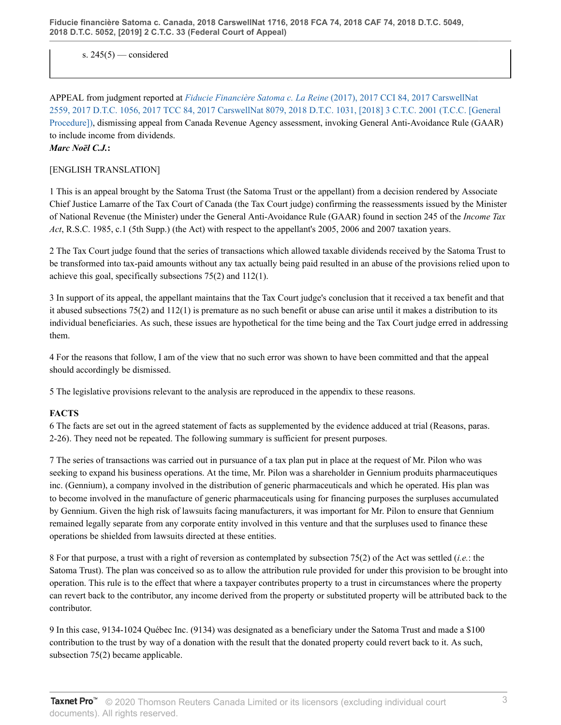s.  $245(5)$  — considered

APPEAL from judgment reported at *Fiducie Financière Satoma c. La Reine* [\(2017\), 2017 CCI 84, 2017 CarswellNat](http://v3.taxnetpro.com/Document/I64a5826e5e5405d3e0540021280d7cce/View/FullText.html?originationContext=document&vr=3.0&rs=cblt1.0&transitionType=DocumentItem&contextData=(sc.Search)) [2559, 2017 D.T.C. 1056, 2017 TCC 84, 2017 CarswellNat 8079, 2018 D.T.C. 1031, \[2018\] 3 C.T.C. 2001 \(T.C.C. \[General](http://v3.taxnetpro.com/Document/I64a5826e5e5405d3e0540021280d7cce/View/FullText.html?originationContext=document&vr=3.0&rs=cblt1.0&transitionType=DocumentItem&contextData=(sc.Search)) [Procedure\]\)](http://v3.taxnetpro.com/Document/I64a5826e5e5405d3e0540021280d7cce/View/FullText.html?originationContext=document&vr=3.0&rs=cblt1.0&transitionType=DocumentItem&contextData=(sc.Search)), dismissing appeal from Canada Revenue Agency assessment, invoking General Anti-Avoidance Rule (GAAR) to include income from dividends.

## *Marc Noël C.J.***:**

## [ENGLISH TRANSLATION]

1 This is an appeal brought by the Satoma Trust (the Satoma Trust or the appellant) from a decision rendered by Associate Chief Justice Lamarre of the Tax Court of Canada (the Tax Court judge) confirming the reassessments issued by the Minister of National Revenue (the Minister) under the General Anti-Avoidance Rule (GAAR) found in section 245 of the *Income Tax Act*, R.S.C. 1985, c.1 (5th Supp.) (the Act) with respect to the appellant's 2005, 2006 and 2007 taxation years.

2 The Tax Court judge found that the series of transactions which allowed taxable dividends received by the Satoma Trust to be transformed into tax-paid amounts without any tax actually being paid resulted in an abuse of the provisions relied upon to achieve this goal, specifically subsections 75(2) and 112(1).

3 In support of its appeal, the appellant maintains that the Tax Court judge's conclusion that it received a tax benefit and that it abused subsections 75(2) and 112(1) is premature as no such benefit or abuse can arise until it makes a distribution to its individual beneficiaries. As such, these issues are hypothetical for the time being and the Tax Court judge erred in addressing them.

4 For the reasons that follow, I am of the view that no such error was shown to have been committed and that the appeal should accordingly be dismissed.

5 The legislative provisions relevant to the analysis are reproduced in the appendix to these reasons.

## **FACTS**

6 The facts are set out in the agreed statement of facts as supplemented by the evidence adduced at trial (Reasons, paras. 2-26). They need not be repeated. The following summary is sufficient for present purposes.

7 The series of transactions was carried out in pursuance of a tax plan put in place at the request of Mr. Pilon who was seeking to expand his business operations. At the time, Mr. Pilon was a shareholder in Gennium produits pharmaceutiques inc. (Gennium), a company involved in the distribution of generic pharmaceuticals and which he operated. His plan was to become involved in the manufacture of generic pharmaceuticals using for financing purposes the surpluses accumulated by Gennium. Given the high risk of lawsuits facing manufacturers, it was important for Mr. Pilon to ensure that Gennium remained legally separate from any corporate entity involved in this venture and that the surpluses used to finance these operations be shielded from lawsuits directed at these entities.

8 For that purpose, a trust with a right of reversion as contemplated by subsection 75(2) of the Act was settled (*i.e.*: the Satoma Trust). The plan was conceived so as to allow the attribution rule provided for under this provision to be brought into operation. This rule is to the effect that where a taxpayer contributes property to a trust in circumstances where the property can revert back to the contributor, any income derived from the property or substituted property will be attributed back to the contributor.

9 In this case, 9134-1024 Québec Inc. (9134) was designated as a beneficiary under the Satoma Trust and made a \$100 contribution to the trust by way of a donation with the result that the donated property could revert back to it. As such, subsection 75(2) became applicable.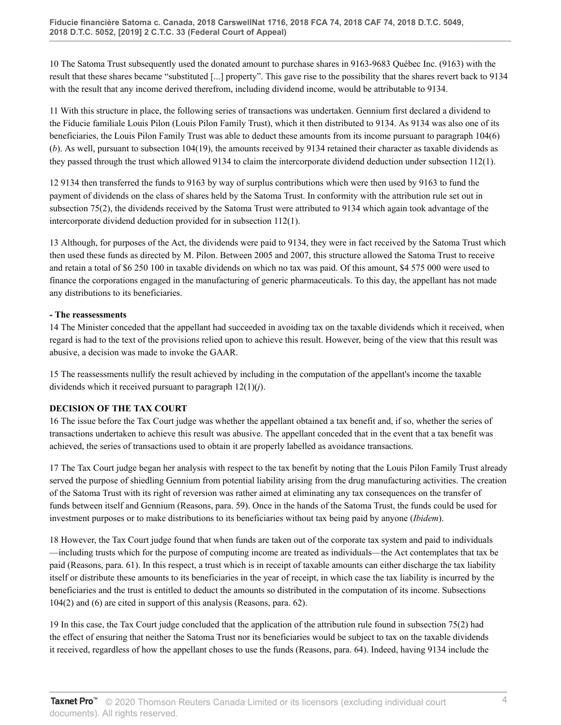10 The Satoma Trust subsequently used the donated amount to purchase shares in 9163-9683 Québec Inc. (9163) with the result that these shares became "substituted [...] property". This gave rise to the possibility that the shares revert back to 9134 with the result that any income derived therefrom, including dividend income, would be attributable to 9134.

11 With this structure in place, the following series of transactions was undertaken. Gennium first declared a dividend to the Fiducie familiale Louis Pilon (Louis Pilon Family Trust), which it then distributed to 9134. As 9134 was also one of its beneficiaries, the Louis Pilon Family Trust was able to deduct these amounts from its income pursuant to paragraph 104(6) (*b*). As well, pursuant to subsection 104(19), the amounts received by 9134 retained their character as taxable dividends as they passed through the trust which allowed 9134 to claim the intercorporate dividend deduction under subsection 112(1).

12 9134 then transferred the funds to 9163 by way of surplus contributions which were then used by 9163 to fund the payment of dividends on the class of shares held by the Satoma Trust. In conformity with the attribution rule set out in subsection 75(2), the dividends received by the Satoma Trust were attributed to 9134 which again took advantage of the intercorporate dividend deduction provided for in subsection 112(1).

13 Although, for purposes of the Act, the dividends were paid to 9134, they were in fact received by the Satoma Trust which then used these funds as directed by M. Pilon. Between 2005 and 2007, this structure allowed the Satoma Trust to receive and retain a total of \$6 250 100 in taxable dividends on which no tax was paid. Of this amount, \$4 575 000 were used to finance the corporations engaged in the manufacturing of generic pharmaceuticals. To this day, the appellant has not made any distributions to its beneficiaries.

## **- The reassessments**

14 The Minister conceded that the appellant had succeeded in avoiding tax on the taxable dividends which it received, when regard is had to the text of the provisions relied upon to achieve this result. However, being of the view that this result was abusive, a decision was made to invoke the GAAR.

15 The reassessments nullify the result achieved by including in the computation of the appellant's income the taxable dividends which it received pursuant to paragraph 12(1)(*j*).

# **DECISION OF THE TAX COURT**

16 The issue before the Tax Court judge was whether the appellant obtained a tax benefit and, if so, whether the series of transactions undertaken to achieve this result was abusive. The appellant conceded that in the event that a tax benefit was achieved, the series of transactions used to obtain it are properly labelled as avoidance transactions.

17 The Tax Court judge began her analysis with respect to the tax benefit by noting that the Louis Pilon Family Trust already served the purpose of shiedling Gennium from potential liability arising from the drug manufacturing activities. The creation of the Satoma Trust with its right of reversion was rather aimed at eliminating any tax consequences on the transfer of funds between itself and Gennium (Reasons, para. 59). Once in the hands of the Satoma Trust, the funds could be used for investment purposes or to make distributions to its beneficiaries without tax being paid by anyone (*Ibidem*).

18 However, the Tax Court judge found that when funds are taken out of the corporate tax system and paid to individuals —including trusts which for the purpose of computing income are treated as individuals—the Act contemplates that tax be paid (Reasons, para. 61). In this respect, a trust which is in receipt of taxable amounts can either discharge the tax liability itself or distribute these amounts to its beneficiaries in the year of receipt, in which case the tax liability is incurred by the beneficiaries and the trust is entitled to deduct the amounts so distributed in the computation of its income. Subsections 104(2) and (6) are cited in support of this analysis (Reasons, para. 62).

19 In this case, the Tax Court judge concluded that the application of the attribution rule found in subsection 75(2) had the effect of ensuring that neither the Satoma Trust nor its beneficiaries would be subject to tax on the taxable dividends it received, regardless of how the appellant choses to use the funds (Reasons, para. 64). Indeed, having 9134 include the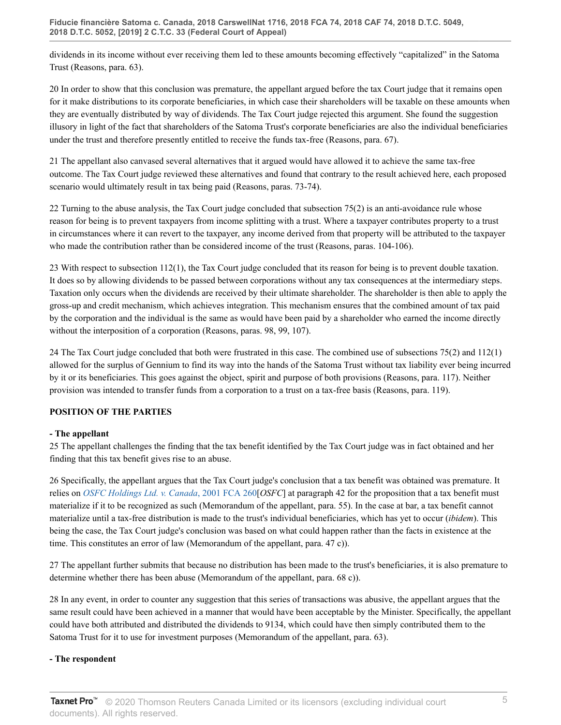dividends in its income without ever receiving them led to these amounts becoming effectively "capitalized" in the Satoma Trust (Reasons, para. 63).

20 In order to show that this conclusion was premature, the appellant argued before the tax Court judge that it remains open for it make distributions to its corporate beneficiaries, in which case their shareholders will be taxable on these amounts when they are eventually distributed by way of dividends. The Tax Court judge rejected this argument. She found the suggestion illusory in light of the fact that shareholders of the Satoma Trust's corporate beneficiaries are also the individual beneficiaries under the trust and therefore presently entitled to receive the funds tax-free (Reasons, para. 67).

21 The appellant also canvased several alternatives that it argued would have allowed it to achieve the same tax-free outcome. The Tax Court judge reviewed these alternatives and found that contrary to the result achieved here, each proposed scenario would ultimately result in tax being paid (Reasons, paras. 73-74).

22 Turning to the abuse analysis, the Tax Court judge concluded that subsection 75(2) is an anti-avoidance rule whose reason for being is to prevent taxpayers from income splitting with a trust. Where a taxpayer contributes property to a trust in circumstances where it can revert to the taxpayer, any income derived from that property will be attributed to the taxpayer who made the contribution rather than be considered income of the trust (Reasons, paras. 104-106).

23 With respect to subsection 112(1), the Tax Court judge concluded that its reason for being is to prevent double taxation. It does so by allowing dividends to be passed between corporations without any tax consequences at the intermediary steps. Taxation only occurs when the dividends are received by their ultimate shareholder. The shareholder is then able to apply the gross-up and credit mechanism, which achieves integration. This mechanism ensures that the combined amount of tax paid by the corporation and the individual is the same as would have been paid by a shareholder who earned the income directly without the interposition of a corporation (Reasons, paras. 98, 99, 107).

24 The Tax Court judge concluded that both were frustrated in this case. The combined use of subsections 75(2) and 112(1) allowed for the surplus of Gennium to find its way into the hands of the Satoma Trust without tax liability ever being incurred by it or its beneficiaries. This goes against the object, spirit and purpose of both provisions (Reasons, para. 117). Neither provision was intended to transfer funds from a corporation to a trust on a tax-free basis (Reasons, para. 119).

## **POSITION OF THE PARTIES**

## **- The appellant**

25 The appellant challenges the finding that the tax benefit identified by the Tax Court judge was in fact obtained and her finding that this tax benefit gives rise to an abuse.

26 Specifically, the appellant argues that the Tax Court judge's conclusion that a tax benefit was obtained was premature. It relies on *[OSFC Holdings Ltd. v. Canada](http://v3.taxnetpro.com/Document/I8d7d9393e22e5dece0440003ba833f85/View/FullText.html?originationContext=document&vr=3.0&rs=cblt1.0&transitionType=DocumentItem&contextData=(sc.Search))*, 2001 FCA 260[*OSFC*] at paragraph 42 for the proposition that a tax benefit must materialize if it to be recognized as such (Memorandum of the appellant, para. 55). In the case at bar, a tax benefit cannot materialize until a tax-free distribution is made to the trust's individual beneficiaries, which has yet to occur (*ibidem*). This being the case, the Tax Court judge's conclusion was based on what could happen rather than the facts in existence at the time. This constitutes an error of law (Memorandum of the appellant, para. 47 c)).

27 The appellant further submits that because no distribution has been made to the trust's beneficiaries, it is also premature to determine whether there has been abuse (Memorandum of the appellant, para. 68 c)).

28 In any event, in order to counter any suggestion that this series of transactions was abusive, the appellant argues that the same result could have been achieved in a manner that would have been acceptable by the Minister. Specifically, the appellant could have both attributed and distributed the dividends to 9134, which could have then simply contributed them to the Satoma Trust for it to use for investment purposes (Memorandum of the appellant, para. 63).

## **- The respondent**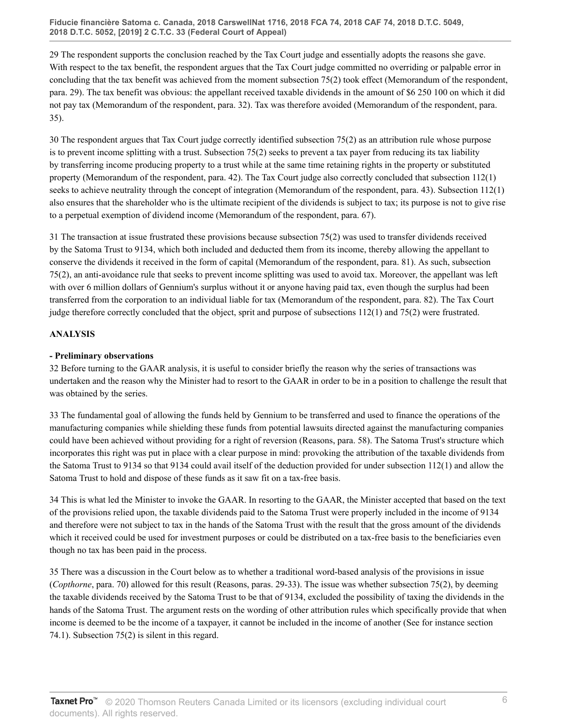29 The respondent supports the conclusion reached by the Tax Court judge and essentially adopts the reasons she gave. With respect to the tax benefit, the respondent argues that the Tax Court judge committed no overriding or palpable error in concluding that the tax benefit was achieved from the moment subsection 75(2) took effect (Memorandum of the respondent, para. 29). The tax benefit was obvious: the appellant received taxable dividends in the amount of \$6 250 100 on which it did not pay tax (Memorandum of the respondent, para. 32). Tax was therefore avoided (Memorandum of the respondent, para. 35).

30 The respondent argues that Tax Court judge correctly identified subsection 75(2) as an attribution rule whose purpose is to prevent income splitting with a trust. Subsection 75(2) seeks to prevent a tax payer from reducing its tax liability by transferring income producing property to a trust while at the same time retaining rights in the property or substituted property (Memorandum of the respondent, para. 42). The Tax Court judge also correctly concluded that subsection 112(1) seeks to achieve neutrality through the concept of integration (Memorandum of the respondent, para. 43). Subsection 112(1) also ensures that the shareholder who is the ultimate recipient of the dividends is subject to tax; its purpose is not to give rise to a perpetual exemption of dividend income (Memorandum of the respondent, para. 67).

31 The transaction at issue frustrated these provisions because subsection 75(2) was used to transfer dividends received by the Satoma Trust to 9134, which both included and deducted them from its income, thereby allowing the appellant to conserve the dividends it received in the form of capital (Memorandum of the respondent, para. 81). As such, subsection 75(2), an anti-avoidance rule that seeks to prevent income splitting was used to avoid tax. Moreover, the appellant was left with over 6 million dollars of Gennium's surplus without it or anyone having paid tax, even though the surplus had been transferred from the corporation to an individual liable for tax (Memorandum of the respondent, para. 82). The Tax Court judge therefore correctly concluded that the object, sprit and purpose of subsections 112(1) and 75(2) were frustrated.

## **ANALYSIS**

## **- Preliminary observations**

32 Before turning to the GAAR analysis, it is useful to consider briefly the reason why the series of transactions was undertaken and the reason why the Minister had to resort to the GAAR in order to be in a position to challenge the result that was obtained by the series.

33 The fundamental goal of allowing the funds held by Gennium to be transferred and used to finance the operations of the manufacturing companies while shielding these funds from potential lawsuits directed against the manufacturing companies could have been achieved without providing for a right of reversion (Reasons, para. 58). The Satoma Trust's structure which incorporates this right was put in place with a clear purpose in mind: provoking the attribution of the taxable dividends from the Satoma Trust to 9134 so that 9134 could avail itself of the deduction provided for under subsection 112(1) and allow the Satoma Trust to hold and dispose of these funds as it saw fit on a tax-free basis.

34 This is what led the Minister to invoke the GAAR. In resorting to the GAAR, the Minister accepted that based on the text of the provisions relied upon, the taxable dividends paid to the Satoma Trust were properly included in the income of 9134 and therefore were not subject to tax in the hands of the Satoma Trust with the result that the gross amount of the dividends which it received could be used for investment purposes or could be distributed on a tax-free basis to the beneficiaries even though no tax has been paid in the process.

35 There was a discussion in the Court below as to whether a traditional word-based analysis of the provisions in issue (*Copthorne*, para. 70) allowed for this result (Reasons, paras. 29-33). The issue was whether subsection 75(2), by deeming the taxable dividends received by the Satoma Trust to be that of 9134, excluded the possibility of taxing the dividends in the hands of the Satoma Trust. The argument rests on the wording of other attribution rules which specifically provide that when income is deemed to be the income of a taxpayer, it cannot be included in the income of another (See for instance section 74.1). Subsection 75(2) is silent in this regard.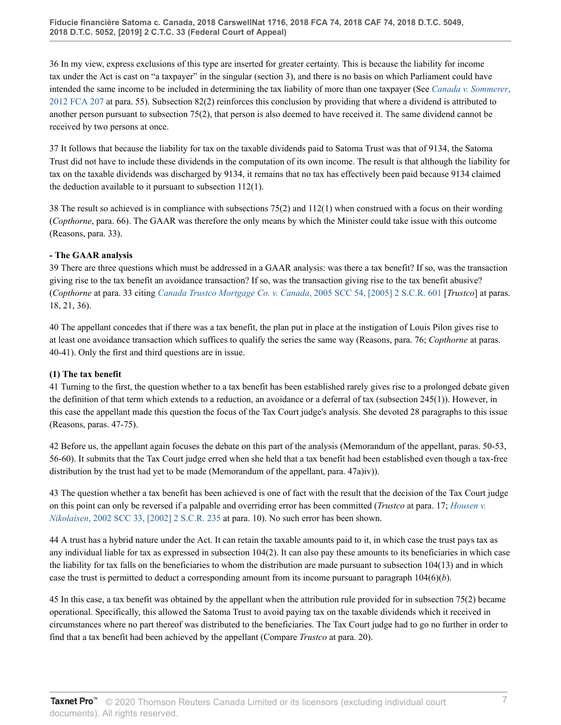36 In my view, express exclusions of this type are inserted for greater certainty. This is because the liability for income tax under the Act is cast on "a taxpayer" in the singular (section 3), and there is no basis on which Parliament could have intended the same income to be included in determining the tax liability of more than one taxpayer (See *[Canada v. Sommerer](http://v3.taxnetpro.com/Document/Ic50884b895b121d0e0440021280d79ee/View/FullText.html?originationContext=document&vr=3.0&rs=cblt1.0&transitionType=DocumentItem&contextData=(sc.Search))*, [2012 FCA 207](http://v3.taxnetpro.com/Document/Ic50884b895b121d0e0440021280d79ee/View/FullText.html?originationContext=document&vr=3.0&rs=cblt1.0&transitionType=DocumentItem&contextData=(sc.Search)) at para. 55). Subsection 82(2) reinforces this conclusion by providing that where a dividend is attributed to another person pursuant to subsection 75(2), that person is also deemed to have received it. The same dividend cannot be received by two persons at once.

37 It follows that because the liability for tax on the taxable dividends paid to Satoma Trust was that of 9134, the Satoma Trust did not have to include these dividends in the computation of its own income. The result is that although the liability for tax on the taxable dividends was discharged by 9134, it remains that no tax has effectively been paid because 9134 claimed the deduction available to it pursuant to subsection 112(1).

38 The result so achieved is in compliance with subsections 75(2) and 112(1) when construed with a focus on their wording (*Copthorne*, para. 66). The GAAR was therefore the only means by which the Minister could take issue with this outcome (Reasons, para. 33).

## **- The GAAR analysis**

39 There are three questions which must be addressed in a GAAR analysis: was there a tax benefit? If so, was the transaction giving rise to the tax benefit an avoidance transaction? If so, was the transaction giving rise to the tax benefit abusive? (*Copthorne* at para. 33 citing *[Canada Trustco Mortgage Co. v. Canada](http://v3.taxnetpro.com/Document/I8d7d939394245dece0440003ba833f85/View/FullText.html?originationContext=document&vr=3.0&rs=cblt1.0&transitionType=DocumentItem&contextData=(sc.Search))*, 2005 SCC 54, [2005] 2 S.C.R. 601 [*Trustco*] at paras. 18, 21, 36).

40 The appellant concedes that if there was a tax benefit, the plan put in place at the instigation of Louis Pilon gives rise to at least one avoidance transaction which suffices to qualify the series the same way (Reasons, para. 76; *Copthorne* at paras. 40-41). Only the first and third questions are in issue.

## **(1) The tax benefit**

41 Turning to the first, the question whether to a tax benefit has been established rarely gives rise to a prolonged debate given the definition of that term which extends to a reduction, an avoidance or a deferral of tax (subsection  $245(1)$ ). However, in this case the appellant made this question the focus of the Tax Court judge's analysis. She devoted 28 paragraphs to this issue (Reasons, paras. 47-75).

42 Before us, the appellant again focuses the debate on this part of the analysis (Memorandum of the appellant, paras. 50-53, 56-60). It submits that the Tax Court judge erred when she held that a tax benefit had been established even though a tax-free distribution by the trust had yet to be made (Memorandum of the appellant, para. 47a)iv)).

43 The question whether a tax benefit has been achieved is one of fact with the result that the decision of the Tax Court judge on this point can only be reversed if a palpable and overriding error has been committed (*Trustco* at para. 17; *[Housen v.](http://v3.taxnetpro.com/Document/I17a3d4299a0372cbe0540021280d79ee/View/FullText.html?originationContext=document&vr=3.0&rs=cblt1.0&transitionType=DocumentItem&contextData=(sc.Search)) Nikolaisen*[, 2002 SCC 33, \[2002\] 2 S.C.R. 235](http://v3.taxnetpro.com/Document/I17a3d4299a0372cbe0540021280d79ee/View/FullText.html?originationContext=document&vr=3.0&rs=cblt1.0&transitionType=DocumentItem&contextData=(sc.Search)) at para. 10). No such error has been shown.

44 A trust has a hybrid nature under the Act. It can retain the taxable amounts paid to it, in which case the trust pays tax as any individual liable for tax as expressed in subsection 104(2). It can also pay these amounts to its beneficiaries in which case the liability for tax falls on the beneficiaries to whom the distribution are made pursuant to subsection 104(13) and in which case the trust is permitted to deduct a corresponding amount from its income pursuant to paragraph 104(6)(*b*).

45 In this case, a tax benefit was obtained by the appellant when the attribution rule provided for in subsection 75(2) became operational. Specifically, this allowed the Satoma Trust to avoid paying tax on the taxable dividends which it received in circumstances where no part thereof was distributed to the beneficiaries. The Tax Court judge had to go no further in order to find that a tax benefit had been achieved by the appellant (Compare *Trustco* at para. 20).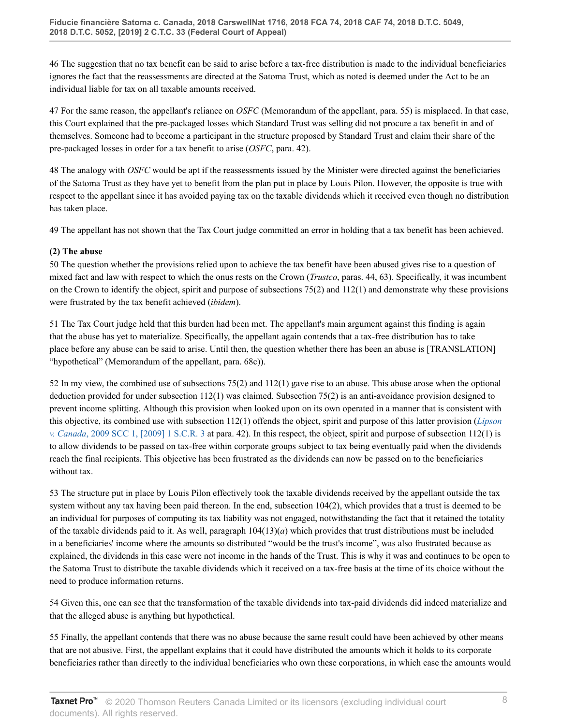46 The suggestion that no tax benefit can be said to arise before a tax-free distribution is made to the individual beneficiaries ignores the fact that the reassessments are directed at the Satoma Trust, which as noted is deemed under the Act to be an individual liable for tax on all taxable amounts received.

47 For the same reason, the appellant's reliance on *OSFC* (Memorandum of the appellant, para. 55) is misplaced. In that case, this Court explained that the pre-packaged losses which Standard Trust was selling did not procure a tax benefit in and of themselves. Someone had to become a participant in the structure proposed by Standard Trust and claim their share of the pre-packaged losses in order for a tax benefit to arise (*OSFC*, para. 42).

48 The analogy with *OSFC* would be apt if the reassessments issued by the Minister were directed against the beneficiaries of the Satoma Trust as they have yet to benefit from the plan put in place by Louis Pilon. However, the opposite is true with respect to the appellant since it has avoided paying tax on the taxable dividends which it received even though no distribution has taken place.

49 The appellant has not shown that the Tax Court judge committed an error in holding that a tax benefit has been achieved.

# **(2) The abuse**

50 The question whether the provisions relied upon to achieve the tax benefit have been abused gives rise to a question of mixed fact and law with respect to which the onus rests on the Crown (*Trustco*, paras. 44, 63). Specifically, it was incumbent on the Crown to identify the object, spirit and purpose of subsections 75(2) and 112(1) and demonstrate why these provisions were frustrated by the tax benefit achieved (*ibidem*).

51 The Tax Court judge held that this burden had been met. The appellant's main argument against this finding is again that the abuse has yet to materialize. Specifically, the appellant again contends that a tax-free distribution has to take place before any abuse can be said to arise. Until then, the question whether there has been an abuse is [TRANSLATION] "hypothetical" (Memorandum of the appellant, para. 68c)).

52 In my view, the combined use of subsections 75(2) and 112(1) gave rise to an abuse. This abuse arose when the optional deduction provided for under subsection  $112(1)$  was claimed. Subsection  $75(2)$  is an anti-avoidance provision designed to prevent income splitting. Although this provision when looked upon on its own operated in a manner that is consistent with this objective, its combined use with subsection 112(1) offends the object, spirit and purpose of this latter provision (*[Lipson](http://v3.taxnetpro.com/Document/I8d7d93935ae45dece0440003ba833f85/View/FullText.html?originationContext=document&vr=3.0&rs=cblt1.0&transitionType=DocumentItem&contextData=(sc.Search)) v. Canada*[, 2009 SCC 1, \[2009\] 1 S.C.R. 3](http://v3.taxnetpro.com/Document/I8d7d93935ae45dece0440003ba833f85/View/FullText.html?originationContext=document&vr=3.0&rs=cblt1.0&transitionType=DocumentItem&contextData=(sc.Search)) at para. 42). In this respect, the object, spirit and purpose of subsection 112(1) is to allow dividends to be passed on tax-free within corporate groups subject to tax being eventually paid when the dividends reach the final recipients. This objective has been frustrated as the dividends can now be passed on to the beneficiaries without tax.

53 The structure put in place by Louis Pilon effectively took the taxable dividends received by the appellant outside the tax system without any tax having been paid thereon. In the end, subsection 104(2), which provides that a trust is deemed to be an individual for purposes of computing its tax liability was not engaged, notwithstanding the fact that it retained the totality of the taxable dividends paid to it. As well, paragraph  $104(13)(a)$  which provides that trust distributions must be included in a beneficiaries' income where the amounts so distributed "would be the trust's income", was also frustrated because as explained, the dividends in this case were not income in the hands of the Trust. This is why it was and continues to be open to the Satoma Trust to distribute the taxable dividends which it received on a tax-free basis at the time of its choice without the need to produce information returns.

54 Given this, one can see that the transformation of the taxable dividends into tax-paid dividends did indeed materialize and that the alleged abuse is anything but hypothetical.

55 Finally, the appellant contends that there was no abuse because the same result could have been achieved by other means that are not abusive. First, the appellant explains that it could have distributed the amounts which it holds to its corporate beneficiaries rather than directly to the individual beneficiaries who own these corporations, in which case the amounts would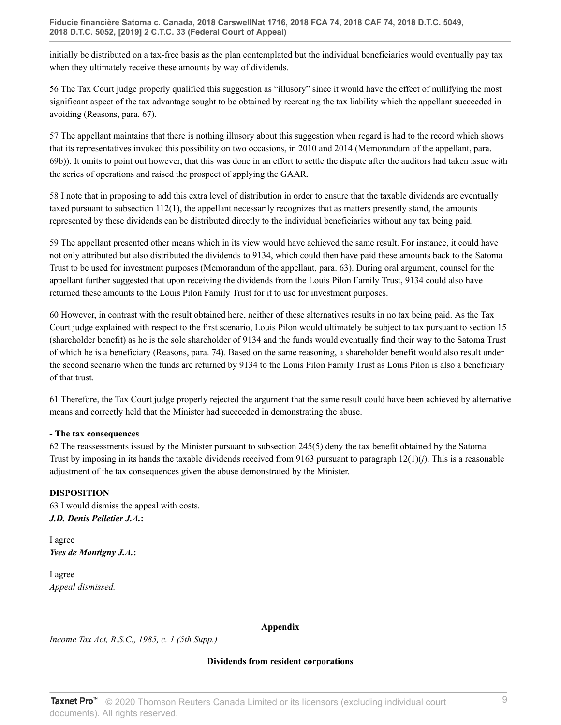initially be distributed on a tax-free basis as the plan contemplated but the individual beneficiaries would eventually pay tax when they ultimately receive these amounts by way of dividends.

56 The Tax Court judge properly qualified this suggestion as "illusory" since it would have the effect of nullifying the most significant aspect of the tax advantage sought to be obtained by recreating the tax liability which the appellant succeeded in avoiding (Reasons, para. 67).

57 The appellant maintains that there is nothing illusory about this suggestion when regard is had to the record which shows that its representatives invoked this possibility on two occasions, in 2010 and 2014 (Memorandum of the appellant, para. 69b)). It omits to point out however, that this was done in an effort to settle the dispute after the auditors had taken issue with the series of operations and raised the prospect of applying the GAAR.

58 I note that in proposing to add this extra level of distribution in order to ensure that the taxable dividends are eventually taxed pursuant to subsection 112(1), the appellant necessarily recognizes that as matters presently stand, the amounts represented by these dividends can be distributed directly to the individual beneficiaries without any tax being paid.

59 The appellant presented other means which in its view would have achieved the same result. For instance, it could have not only attributed but also distributed the dividends to 9134, which could then have paid these amounts back to the Satoma Trust to be used for investment purposes (Memorandum of the appellant, para. 63). During oral argument, counsel for the appellant further suggested that upon receiving the dividends from the Louis Pilon Family Trust, 9134 could also have returned these amounts to the Louis Pilon Family Trust for it to use for investment purposes.

60 However, in contrast with the result obtained here, neither of these alternatives results in no tax being paid. As the Tax Court judge explained with respect to the first scenario, Louis Pilon would ultimately be subject to tax pursuant to section 15 (shareholder benefit) as he is the sole shareholder of 9134 and the funds would eventually find their way to the Satoma Trust of which he is a beneficiary (Reasons, para. 74). Based on the same reasoning, a shareholder benefit would also result under the second scenario when the funds are returned by 9134 to the Louis Pilon Family Trust as Louis Pilon is also a beneficiary of that trust.

61 Therefore, the Tax Court judge properly rejected the argument that the same result could have been achieved by alternative means and correctly held that the Minister had succeeded in demonstrating the abuse.

## **- The tax consequences**

62 The reassessments issued by the Minister pursuant to subsection 245(5) deny the tax benefit obtained by the Satoma Trust by imposing in its hands the taxable dividends received from 9163 pursuant to paragraph 12(1)(*j*). This is a reasonable adjustment of the tax consequences given the abuse demonstrated by the Minister.

## **DISPOSITION**

63 I would dismiss the appeal with costs. *J.D. Denis Pelletier J.A.***:**

I agree *Yves de Montigny J.A.***:**

I agree *Appeal dismissed.*

## **Appendix**

*Income Tax Act, R.S.C., 1985, c. 1 (5th Supp.)*

## **Dividends from resident corporations**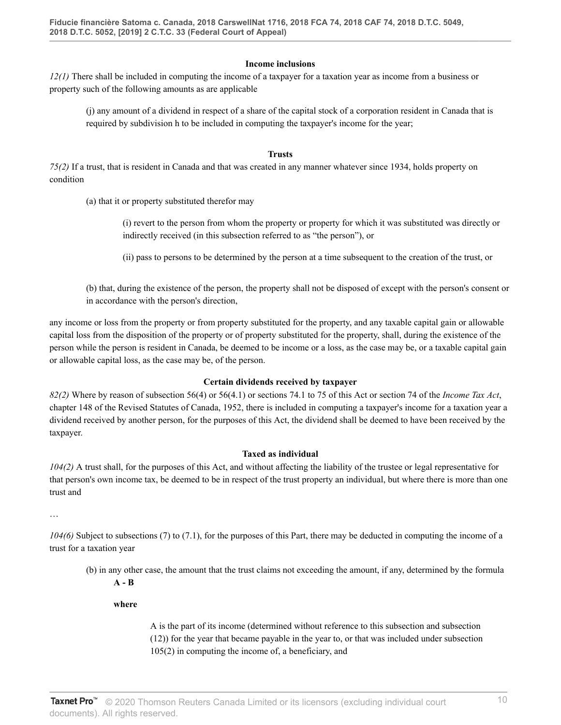#### **Income inclusions**

*12(1)* There shall be included in computing the income of a taxpayer for a taxation year as income from a business or property such of the following amounts as are applicable

(j) any amount of a dividend in respect of a share of the capital stock of a corporation resident in Canada that is required by subdivision h to be included in computing the taxpayer's income for the year;

#### **Trusts**

*75(2)* If a trust, that is resident in Canada and that was created in any manner whatever since 1934, holds property on condition

(a) that it or property substituted therefor may

(i) revert to the person from whom the property or property for which it was substituted was directly or indirectly received (in this subsection referred to as "the person"), or

(ii) pass to persons to be determined by the person at a time subsequent to the creation of the trust, or

(b) that, during the existence of the person, the property shall not be disposed of except with the person's consent or in accordance with the person's direction,

any income or loss from the property or from property substituted for the property, and any taxable capital gain or allowable capital loss from the disposition of the property or of property substituted for the property, shall, during the existence of the person while the person is resident in Canada, be deemed to be income or a loss, as the case may be, or a taxable capital gain or allowable capital loss, as the case may be, of the person.

## **Certain dividends received by taxpayer**

*82(2)* Where by reason of subsection 56(4) or 56(4.1) or sections 74.1 to 75 of this Act or section 74 of the *Income Tax Act*, chapter 148 of the Revised Statutes of Canada, 1952, there is included in computing a taxpayer's income for a taxation year a dividend received by another person, for the purposes of this Act, the dividend shall be deemed to have been received by the taxpayer.

#### **Taxed as individual**

*104(2)* A trust shall, for the purposes of this Act, and without affecting the liability of the trustee or legal representative for that person's own income tax, be deemed to be in respect of the trust property an individual, but where there is more than one trust and

…

*104(6)* Subject to subsections (7) to (7.1), for the purposes of this Part, there may be deducted in computing the income of a trust for a taxation year

(b) in any other case, the amount that the trust claims not exceeding the amount, if any, determined by the formula

**A - B**

## **where**

A is the part of its income (determined without reference to this subsection and subsection (12)) for the year that became payable in the year to, or that was included under subsection 105(2) in computing the income of, a beneficiary, and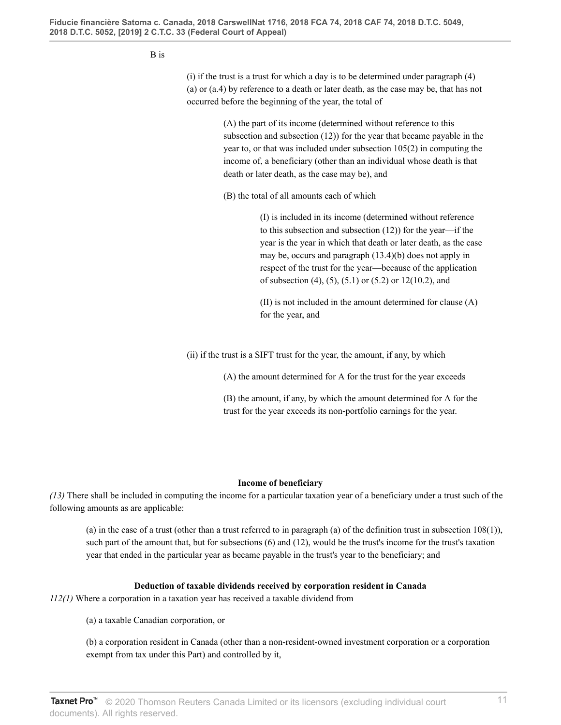#### B is

(i) if the trust is a trust for which a day is to be determined under paragraph (4) (a) or (a.4) by reference to a death or later death, as the case may be, that has not occurred before the beginning of the year, the total of

> (A) the part of its income (determined without reference to this subsection and subsection (12)) for the year that became payable in the year to, or that was included under subsection 105(2) in computing the income of, a beneficiary (other than an individual whose death is that death or later death, as the case may be), and

(B) the total of all amounts each of which

(I) is included in its income (determined without reference to this subsection and subsection (12)) for the year—if the year is the year in which that death or later death, as the case may be, occurs and paragraph (13.4)(b) does not apply in respect of the trust for the year—because of the application of subsection (4), (5), (5.1) or (5.2) or 12(10.2), and

(II) is not included in the amount determined for clause (A) for the year, and

(ii) if the trust is a SIFT trust for the year, the amount, if any, by which

(A) the amount determined for A for the trust for the year exceeds

(B) the amount, if any, by which the amount determined for A for the trust for the year exceeds its non-portfolio earnings for the year.

#### **Income of beneficiary**

*(13)* There shall be included in computing the income for a particular taxation year of a beneficiary under a trust such of the following amounts as are applicable:

(a) in the case of a trust (other than a trust referred to in paragraph (a) of the definition trust in subsection  $108(1)$ ), such part of the amount that, but for subsections (6) and (12), would be the trust's income for the trust's taxation year that ended in the particular year as became payable in the trust's year to the beneficiary; and

## **Deduction of taxable dividends received by corporation resident in Canada**

*112(1)* Where a corporation in a taxation year has received a taxable dividend from

(a) a taxable Canadian corporation, or

(b) a corporation resident in Canada (other than a non-resident-owned investment corporation or a corporation exempt from tax under this Part) and controlled by it,